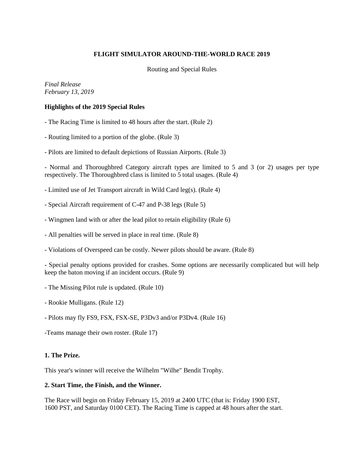# **FLIGHT SIMULATOR AROUND-THE-WORLD RACE 2019**

Routing and Special Rules

*Final Release February 13, 2019*

## **Highlights of the 2019 Special Rules**

- The Racing Time is limited to 48 hours after the start. (Rule 2)
- Routing limited to a portion of the globe. (Rule 3)
- Pilots are limited to default depictions of Russian Airports. (Rule 3)

- Normal and Thoroughbred Category aircraft types are limited to 5 and 3 (or 2) usages per type respectively. The Thoroughbred class is limited to 5 total usages. (Rule 4)

- Limited use of Jet Transport aircraft in Wild Card leg(s). (Rule 4)
- Special Aircraft requirement of C-47 and P-38 legs (Rule 5)
- Wingmen land with or after the lead pilot to retain eligibility (Rule 6)
- All penalties will be served in place in real time. (Rule 8)
- Violations of Overspeed can be costly. Newer pilots should be aware. (Rule 8)

- Special penalty options provided for crashes. Some options are necessarily complicated but will help keep the baton moving if an incident occurs. (Rule 9)

- The Missing Pilot rule is updated. (Rule 10)
- Rookie Mulligans. (Rule 12)
- Pilots may fly FS9, FSX, FSX-SE, P3Dv3 and/or P3Dv4. (Rule 16)
- -Teams manage their own roster. (Rule 17)

### **1. The Prize.**

This year's winner will receive the Wilhelm "Wilhe" Bendit Trophy.

### **2. Start Time, the Finish, and the Winner.**

The Race will begin on Friday February 15, 2019 at 2400 UTC (that is: Friday 1900 EST, 1600 PST, and Saturday 0100 CET). The Racing Time is capped at 48 hours after the start.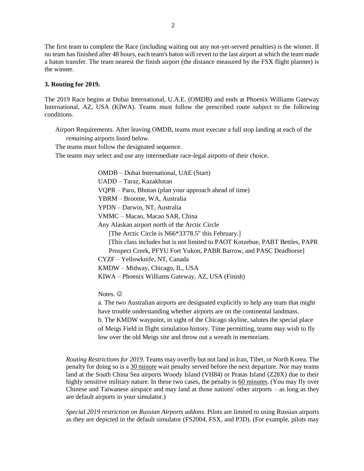The first team to complete the Race (including waiting out any not-yet-served penalties) is the winner. If no team has finished after 48 hours, each team's baton will revert to the last airport at which the team made a baton transfer. The team nearest the finish airport (the distance measured by the FSX flight planner) is the winner.

#### **3. Routing for 2019.**

The 2019 Race begins at Dubai International, U.A.E. (OMDB) and ends at Phoenix Williams Gateway International, AZ, USA (KIWA). Teams must follow the prescribed route subject to the following conditions.

Airport Requirements. After leaving OMDB, teams must execute a full stop landing at each of the *remaining* airports listed below.

The teams must follow the designated sequence.

The teams may select and use any intermediate race-legal airports of their choice.

OMDB – Dubai International, UAE (Start) UADD – Taraz, Kazakhstan VQPR – Paro, Bhutan (plan your approach ahead of time) YBRM – Broome, WA, Australia YPDN – Darwin, NT, Australia VMMC – Macao, Macao SAR, China Any Alaskan airport north of the Arctic Circle [The Arctic Circle is N66\*33'78.5" this February.] [This class includes but is not limited to PAOT Kotzebue, PABT Bettles, PAPR Prospect Creek, PFYU Fort Yukon, PABR Barrow, and PASC Deadhorse] CYZF – Yellowknife, NT, Canada KMDW – Midway, Chicago, IL, USA KIWA – Phoenix Williams Gateway, AZ, USA (Finish)

Notes.  $\odot$ 

a. The two Australian airports are designated explicitly to help any team that might have trouble understanding whether airports are on the continental landmass.

b. The KMDW waypoint, in sight of the Chicago skyline, salutes the special place of Meigs Field in flight simulation history. Time permitting, teams may wish to fly low over the old Meigs site and throw out a wreath in memoriam.

*Routing Restrictions for 2019*. Teams may overfly but not land in Iran, Tibet, or North Korea. The penalty for doing so is a 30 minute wait penalty served before the next departure. Nor may teams land at the South China Sea airports Woody Island (VH84) or Pratas Island (Z28X) due to their highly sensitive military nature. In these two cases, the penalty is 60 minutes. (You may fly over Chinese and Taiwanese airspace and may land at those nations' other airports – as long as they are default airports in your simulator.)

*Special 2019 restriction on Russian Airports addons.* Pilots are limited to using Russian airports as they are depicted in the default simulator (FS2004, FSX, and P3D). (For example, pilots may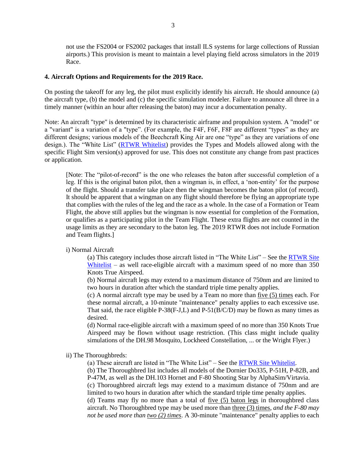not use the FS2004 or FS2002 packages that install ILS systems for large collections of Russian airports.) This provision is meant to maintain a level playing field across simulators in the 2019 Race.

#### **4. Aircraft Options and Requirements for the 2019 Race.**

On posting the takeoff for any leg, the pilot must explicitly identify his aircraft. He should announce (a) the aircraft type, (b) the model and (c) the specific simulation modeler. Failure to announce all three in a timely manner (within an hour after releasing the baton) may incur a documentation penalty.

Note: An aircraft "type" is determined by its characteristic airframe and propulsion system. A "model" or a "variant" is a variation of a "type". (For example, the F4F, F6F, F8F are different "types" as they are different designs; various models of the Beechcraft King Air are one "type" as they are variations of one design.). The "White List" [\(RTWR Whitelist\)](https://www.fsrtwrace.com/whitelist.html) provides the Types and Models allowed along with the specific Flight Sim version(s) approved for use. This does not constitute any change from past practices or application.

[Note: The "pilot-of-record" is the one who releases the baton after successful completion of a leg. If this is the original baton pilot, then a wingman is, in effect, a 'non-entity' for the purpose of the flight. Should a transfer take place then the wingman becomes the baton pilot (of record). It should be apparent that a wingman on any flight should therefore be flying an appropriate type that complies with the rules of the leg and the race as a whole. In the case of a Formation or Team Flight, the above still applies but the wingman is now essential for completion of the Formation, or qualifies as a participating pilot in the Team Flight. These extra flights are not counted in the usage limits as they are secondary to the baton leg. The 2019 RTWR does not include Formation and Team flights.]

#### i) Normal Aircraft

(a) This category includes those aircraft listed in "The White List" – See the [RTWR Site](https://www.fsrtwrace.com/whitelist.html)  [Whitelist](https://www.fsrtwrace.com/whitelist.html) – as well race-eligible aircraft with a maximum speed of no more than 350 Knots True Airspeed.

(b) Normal aircraft legs may extend to a maximum distance of 750nm and are limited to two hours in duration after which the standard triple time penalty applies.

(c) A normal aircraft type may be used by a Team no more than five (5) times each. For these normal aircraft, a 10-minute "maintenance" penalty applies to each excessive use. That said, the race eligible P-38(F-J,L) and P-51( $B/C/D$ ) may be flown as many times as desired.

(d) Normal race-eligible aircraft with a maximum speed of no more than 350 Knots True Airspeed may be flown without usage restriction. (This class might include quality simulations of the DH.98 Mosquito, Lockheed Constellation, ... or the Wright Flyer.)

ii) The Thoroughbreds:

(a) These aircraft are listed in "The White List" – See the  $RTWR$  Site Whitelist.

(b) The Thoroughbred list includes all models of the Dornier Do335, P-51H, P-82B, and P-47M, as well as the DH.103 Hornet and F-80 Shooting Star by AlphaSim/Virtavia. (c) Thoroughbred aircraft legs may extend to a maximum distance of 750nm and are limited to two hours in duration after which the standard triple time penalty applies. (d) Teams may fly no more than a total of five (5) baton legs in thoroughbred class aircraft. No Thoroughbred type may be used more than three (3) times, *and the F-80 may not be used more than two (2) times*. A 30-minute "maintenance" penalty applies to each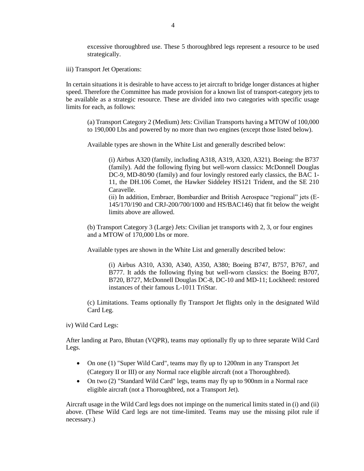excessive thoroughbred use. These 5 thoroughbred legs represent a resource to be used strategically.

iii) Transport Jet Operations:

In certain situations it is desirable to have access to jet aircraft to bridge longer distances at higher speed. Therefore the Committee has made provision for a known list of transport-category jets to be available as a strategic resource. These are divided into two categories with specific usage limits for each, as follows:

(a) Transport Category 2 (Medium) Jets: Civilian Transports having a MTOW of 100,000 to 190,000 Lbs and powered by no more than two engines (except those listed below).

Available types are shown in the White List and generally described below:

(i) Airbus A320 (family, including A318, A319, A320, A321). Boeing: the B737 (family). Add the following flying but well-worn classics: McDonnell Douglas DC-9, MD-80/90 (family) and four lovingly restored early classics, the BAC 1- 11, the DH.106 Comet, the Hawker Siddeley HS121 Trident, and the SE 210 Caravelle.

(ii) In addition, Embraer, Bombardier and British Aerospace "regional" jets (E-145/170/190 and CRJ-200/700/1000 and HS/BAC146) that fit below the weight limits above are allowed.

(b) Transport Category 3 (Large) Jets: Civilian jet transports with 2, 3, or four engines and a MTOW of 170,000 Lbs or more.

Available types are shown in the White List and generally described below:

(i) Airbus A310, A330, A340, A350, A380; Boeing B747, B757, B767, and B777. It adds the following flying but well-worn classics: the Boeing B707, B720, B727, McDonnell Douglas DC-8, DC-10 and MD-11; Lockheed: restored instances of their famous L-1011 TriStar.

(c) Limitations. Teams optionally fly Transport Jet flights only in the designated Wild Card Leg.

iv) Wild Card Legs:

After landing at Paro, Bhutan (VQPR), teams may optionally fly up to three separate Wild Card Legs.

- On one (1) "Super Wild Card", teams may fly up to 1200nm in any Transport Jet (Category II or III) or any Normal race eligible aircraft (not a Thoroughbred).
- On two (2) "Standard Wild Card" legs, teams may fly up to 900nm in a Normal race eligible aircraft (not a Thoroughbred, not a Transport Jet).

Aircraft usage in the Wild Card legs does not impinge on the numerical limits stated in (i) and (ii) above. (These Wild Card legs are not time-limited. Teams may use the missing pilot rule if necessary.)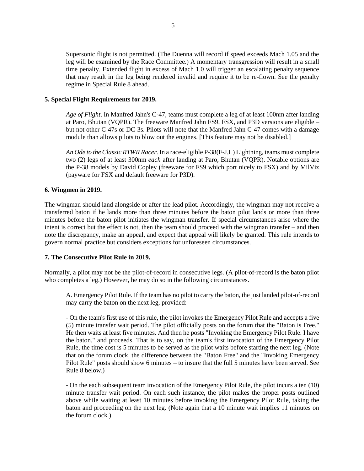Supersonic flight is not permitted. (The Duenna will record if speed exceeds Mach 1.05 and the leg will be examined by the Race Committee.) A momentary transgression will result in a small time penalty. Extended flight in excess of Mach 1.0 will trigger an escalating penalty sequence that may result in the leg being rendered invalid and require it to be re-flown. See the penalty regime in Special Rule 8 ahead.

## **5. Special Flight Requirements for 2019.**

*Age of Flight*. In Manfred Jahn's C-47, teams must complete a leg of at least 100nm after landing at Paro, Bhutan (VQPR). The freeware Manfred Jahn FS9, FSX, and P3D versions are eligible – but not other C-47s or DC-3s. Pilots will note that the Manfred Jahn C-47 comes with a damage module than allows pilots to blow out the engines. [This feature may not be disabled.]

*An Ode to the Classic RTWR Racer.* In a race-eligible P-38(F-J,L) Lightning, teams must complete two (2) legs of at least 300nm *each* after landing at Paro, Bhutan (VQPR). Notable options are the P-38 models by David Copley (freeware for FS9 which port nicely to FSX) and by MilViz (payware for FSX and default freeware for P3D).

## **6. Wingmen in 2019.**

The wingman should land alongside or after the lead pilot. Accordingly, the wingman may not receive a transferred baton if he lands more than three minutes before the baton pilot lands or more than three minutes before the baton pilot initiates the wingman transfer. If special circumstances arise where the intent is correct but the effect is not, then the team should proceed with the wingman transfer – and then note the discrepancy, make an appeal, and expect that appeal will likely be granted. This rule intends to govern normal practice but considers exceptions for unforeseen circumstances.

### **7. The Consecutive Pilot Rule in 2019.**

Normally, a pilot may not be the pilot-of-record in consecutive legs. (A pilot-of-record is the baton pilot who completes a leg.) However, he may do so in the following circumstances.

A. Emergency Pilot Rule. If the team has no pilot to carry the baton, the just landed pilot-of-record may carry the baton on the next leg, provided:

- On the team's first use of this rule, the pilot invokes the Emergency Pilot Rule and accepts a five (5) minute transfer wait period. The pilot officially posts on the forum that the "Baton is Free." He then waits at least five minutes. And then he posts "Invoking the Emergency Pilot Rule. I have the baton." and proceeds. That is to say, on the team's first invocation of the Emergency Pilot Rule, the time cost is 5 minutes to be served as the pilot waits before starting the next leg. (Note that on the forum clock, the difference between the "Baton Free" and the "Invoking Emergency Pilot Rule" posts should show 6 minutes – to insure that the full 5 minutes have been served. See Rule 8 below.)

- On the each subsequent team invocation of the Emergency Pilot Rule, the pilot incurs a ten (10) minute transfer wait period. On each such instance, the pilot makes the proper posts outlined above while waiting at least 10 minutes before invoking the Emergency Pilot Rule, taking the baton and proceeding on the next leg. (Note again that a 10 minute wait implies 11 minutes on the forum clock.)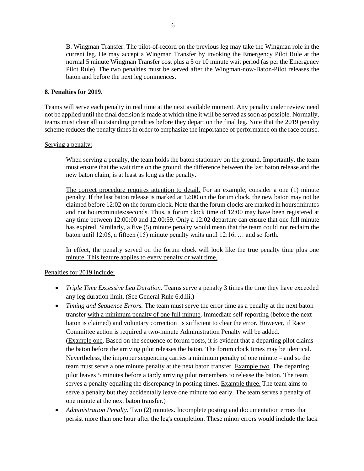B. Wingman Transfer. The pilot-of-record on the previous leg may take the Wingman role in the current leg. He may accept a Wingman Transfer by invoking the Emergency Pilot Rule at the normal 5 minute Wingman Transfer cost plus a 5 or 10 minute wait period (as per the Emergency Pilot Rule). The two penalties must be served after the Wingman-now-Baton-Pilot releases the baton and before the next leg commences.

## **8. Penalties for 2019.**

Teams will serve each penalty in real time at the next available moment. Any penalty under review need not be applied until the final decision is made at which time it will be served as soon as possible. Normally, teams must clear all outstanding penalties before they depart on the final leg. Note that the 2019 penalty scheme reduces the penalty times in order to emphasize the importance of performance on the race course.

## Serving a penalty:

When serving a penalty, the team holds the baton stationary on the ground. Importantly, the team must ensure that the wait time on the ground, the difference between the last baton release and the new baton claim, is at least as long as the penalty.

The correct procedure requires attention to detail. For an example, consider a one (1) minute penalty. If the last baton release is marked at 12:00 on the forum clock, the new baton may not be claimed before 12:02 on the forum clock. Note that the forum clocks are marked in hours:minutes and not hours:minutes:seconds. Thus, a forum clock time of 12:00 may have been registered at any time between 12:00:00 and 12:00:59. Only a 12:02 departure can ensure that one full minute has expired. Similarly, a five (5) minute penalty would mean that the team could not reclaim the baton until 12:06, a fifteen (15) minute penalty waits until 12:16, … and so forth.

In effect, the penalty served on the forum clock will look like the true penalty time plus one minute. This feature applies to every penalty or wait time.

# Penalties for 2019 include:

- *Triple Time Excessive Leg Duration.* Teams serve a penalty 3 times the time they have exceeded any leg duration limit. (See General Rule 6.d.iii.)
- *Timing and Sequence Errors*. The team must serve the error time as a penalty at the next baton transfer with a minimum penalty of one full minute. Immediate self-reporting (before the next baton is claimed) and voluntary correction is sufficient to clear the error. However, if Race Committee action is required a two-minute Administration Penalty will be added. (Example one. Based on the sequence of forum posts, it is evident that a departing pilot claims the baton before the arriving pilot releases the baton. The forum clock times may be identical. Nevertheless, the improper sequencing carries a minimum penalty of one minute – and so the team must serve a one minute penalty at the next baton transfer. Example two. The departing pilot leaves 5 minutes before a tardy arriving pilot remembers to release the baton. The team serves a penalty equaling the discrepancy in posting times. Example three. The team aims to serve a penalty but they accidentally leave one minute too early. The team serves a penalty of one minute at the next baton transfer.)
- *Administration Penalty*. Two (2) minutes. Incomplete posting and documentation errors that persist more than one hour after the leg's completion. These minor errors would include the lack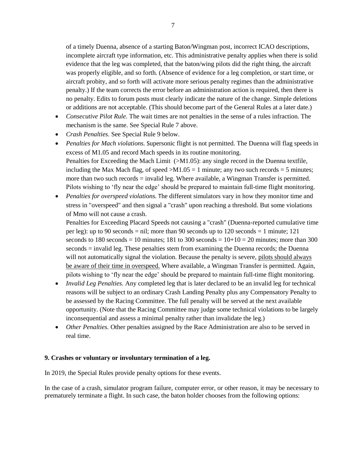of a timely Duenna, absence of a starting Baton/Wingman post, incorrect ICAO descriptions, incomplete aircraft type information, etc. This administrative penalty applies when there is solid evidence that the leg was completed, that the baton/wing pilots did the right thing, the aircraft was properly eligible, and so forth. (Absence of evidence for a leg completion, or start time, or aircraft probity, and so forth will activate more serious penalty regimes than the administrative penalty.) If the team corrects the error before an administration action is required, then there is no penalty. Edits to forum posts must clearly indicate the nature of the change. Simple deletions or additions are not acceptable. (This should become part of the General Rules at a later date.)

- *Consecutive Pilot Rule.* The wait times are not penalties in the sense of a rules infraction. The mechanism is the same. See Special Rule 7 above.
- *Crash Penalties.* See Special Rule 9 below.
- *Penalties for Mach violations.* Supersonic flight is not permitted. The Duenna will flag speeds in excess of M1.05 and record Mach speeds in its routine monitoring. Penalties for Exceeding the Mach Limit (>M1.05): any single record in the Duenna textfile, including the Max Mach flag, of speed  $>M1.05 = 1$  minute; any two such records = 5 minutes; more than two such records = invalid leg. Where available, a Wingman Transfer is permitted. Pilots wishing to 'fly near the edge' should be prepared to maintain full-time flight monitoring.
- *Penalties for overspeed violations.* The different simulators vary in how they monitor time and stress in "overspeed" and then signal a "crash" upon reaching a threshold. But some violations of Mmo will not cause a crash.

Penalties for Exceeding Placard Speeds not causing a "crash" (Duenna-reported cumulative time per leg): up to 90 seconds = nil; more than 90 seconds up to 120 seconds = 1 minute; 121 seconds to 180 seconds = 10 minutes; 181 to 300 seconds =  $10+10 = 20$  minutes; more than 300 seconds = invalid leg. These penalties stem from examining the Duenna records; the Duenna will not automatically signal the violation. Because the penalty is severe, pilots should always be aware of their time in overspeed. Where available, a Wingman Transfer is permitted. Again, pilots wishing to 'fly near the edge' should be prepared to maintain full-time flight monitoring.

- *Invalid Leg Penalties.* Any completed leg that is later declared to be an invalid leg for technical reasons will be subject to an ordinary Crash Landing Penalty plus any Compensatory Penalty to be assessed by the Racing Committee. The full penalty will be served at the next available opportunity. (Note that the Racing Committee may judge some technical violations to be largely inconsequential and assess a minimal penalty rather than invalidate the leg.)
- *Other Penalties.* Other penalties assigned by the Race Administration are also to be served in real time.

### **9. Crashes or voluntary or involuntary termination of a leg.**

In 2019, the Special Rules provide penalty options for these events.

In the case of a crash, simulator program failure, computer error, or other reason, it may be necessary to prematurely terminate a flight. In such case, the baton holder chooses from the following options: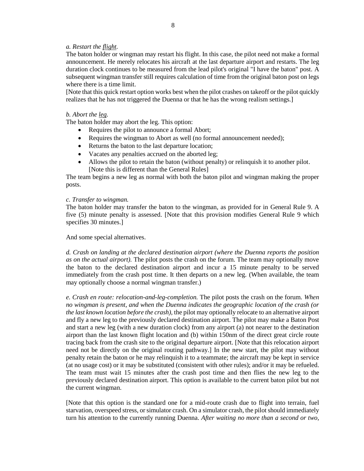# *a. Restart the flight.*

The baton holder or wingman may restart his flight. In this case, the pilot need not make a formal announcement. He merely relocates his aircraft at the last departure airport and restarts. The leg duration clock continues to be measured from the lead pilot's original "I have the baton" post. A subsequent wingman transfer still requires calculation of time from the original baton post on legs where there is a time limit.

[Note that this quick restart option works best when the pilot crashes on takeoff or the pilot quickly realizes that he has not triggered the Duenna or that he has the wrong realism settings.]

#### *b. Abort the leg.*

The baton holder may abort the leg. This option:

- Requires the pilot to announce a formal Abort;
- Requires the wingman to Abort as well (no formal announcement needed);
- Returns the baton to the last departure location;
- Vacates any penalties accrued on the aborted leg;
- Allows the pilot to retain the baton (without penalty) or relinquish it to another pilot. [Note this is different than the General Rules]

The team begins a new leg as normal with both the baton pilot and wingman making the proper posts.

#### *c. Transfer to wingman.*

The baton holder may transfer the baton to the wingman, as provided for in General Rule 9. A five (5) minute penalty is assessed. [Note that this provision modifies General Rule 9 which specifies 30 minutes.]

#### And some special alternatives.

*d. Crash on landing at the declared destination airport (where the Duenna reports the position as on the actual airport).* The pilot posts the crash on the forum. The team may optionally move the baton to the declared destination airport and incur a 15 minute penalty to be served immediately from the crash post time. It then departs on a new leg. (When available, the team may optionally choose a normal wingman transfer.)

*e. Crash en route: relocation-and-leg-completion.* The pilot posts the crash on the forum. *When no wingman is present, and when the Duenna indicates the geographic location of the crash (or the last known location before the crash),* the pilot may optionally relocate to an alternative airport and fly a new leg to the previously declared destination airport. The pilot may make a Baton Post and start a new leg (with a new duration clock) from any airport (a) not nearer to the destination airport than the last known flight location and (b) within 150nm of the direct great circle route tracing back from the crash site to the original departure airport. [Note that this relocation airport need not be directly on the original routing pathway.] In the new start, the pilot may without penalty retain the baton or he may relinquish it to a teammate; the aircraft may be kept in service (at no usage cost) or it may be substituted (consistent with other rules); and/or it may be refueled. The team must wait 15 minutes after the crash post time and then flies the new leg to the previously declared destination airport. This option is available to the current baton pilot but not the current wingman.

[Note that this option is the standard one for a mid-route crash due to flight into terrain, fuel starvation, overspeed stress, or simulator crash. On a simulator crash, the pilot should immediately turn his attention to the currently running Duenna. *After waiting no more than a second or two,*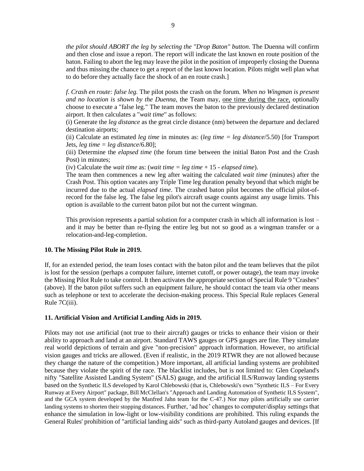*the pilot should ABORT the leg by selecting the "Drop Baton" button.* The Duenna will confirm and then close and issue a report. The report will indicate the last known en route position of the baton. Failing to abort the leg may leave the pilot in the position of improperly closing the Duenna and thus missing the chance to get a report of the last known location. Pilots might well plan what to do before they actually face the shock of an en route crash.]

*f. Crash en route: false leg.* The pilot posts the crash on the forum. *When no Wingman is present and no location is shown by the Duenna,* the Team may, one time during the race, optionally choose to execute a "false leg." The team moves the baton to the previously declared destination airport. It then calculates a "*wait time*" as follows:

(i) Generate the *leg distance* as the great circle distance (nm) between the departure and declared destination airports;

(ii) Calculate an estimated *leg time* in minutes as: (*leg time = leg distance*/5.50) [for Transport Jets, *leg time = leg distance*/6.80];

(iii) Determine the *elapsed time* (the forum time between the initial Baton Post and the Crash Post) in minutes;

(iv) Calculate the *wait time* as: (*wait time = leg time* + 15 - *elapsed time*).

The team then commences a new leg after waiting the calculated *wait time* (minutes) after the Crash Post. This option vacates any Triple Time leg duration penalty beyond that which might be incurred due to the actual *elapsed time*. The crashed baton pilot becomes the official pilot-ofrecord for the false leg. The false leg pilot's aircraft usage counts against any usage limits. This option is available to the current baton pilot but not the current wingman.

This provision represents a partial solution for a computer crash in which all information is lost – and it may be better than re-flying the entire leg but not so good as a wingman transfer or a relocation-and-leg-completion.

#### **10. The Missing Pilot Rule in 2019.**

If, for an extended period, the team loses contact with the baton pilot and the team believes that the pilot is lost for the session (perhaps a computer failure, internet cutoff, or power outage), the team may invoke the Missing Pilot Rule to take control. It then activates the appropriate section of Special Rule 9 "Crashes" (above). If the baton pilot suffers such an equipment failure, he should contact the team via other means such as telephone or text to accelerate the decision-making process. This Special Rule replaces General Rule 7C(iii).

### **11. Artificial Vision and Artificial Landing Aids in 2019.**

Pilots may not use artificial (not true to their aircraft) gauges or tricks to enhance their vision or their ability to approach and land at an airport. Standard TAWS gauges or GPS gauges are fine. They simulate real world depictions of terrain and give "non-precision" approach information. However, no artificial vision gauges and tricks are allowed. (Even if realistic, in the 2019 RTWR they are not allowed because they change the nature of the competition.) More important, all artificial landing systems are prohibited because they violate the spirit of the race. The blacklist includes, but is not limited to: Glen Copeland's nifty "Satellite Assisted Landing System" (SALS) gauge, and the artificial ILS/Runway landing systems based on the Synthetic ILS developed by Karol Chlebowski (that is, Chlebowski's own "Synthetic ILS – For Every Runway at Every Airport" package, Bill McClellan's "Approach and Landing Automation of Synthetic ILS System", and the GCA system developed by the Manfred Jahn team for the C-47.) Nor may pilots artificially use carrier landing systems to shorten their stopping distances. Further, 'ad hoc' changes to computer/display settings that enhance the simulation in low-light or low-visibility conditions are prohibited. This ruling expands the General Rules' prohibition of "artificial landing aids" such as third-party Autoland gauges and devices. [If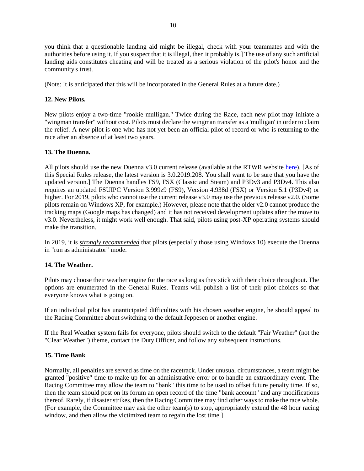you think that a questionable landing aid might be illegal, check with your teammates and with the authorities before using it. If you suspect that it is illegal, then it probably is.] The use of any such artificial landing aids constitutes cheating and will be treated as a serious violation of the pilot's honor and the community's trust.

(Note: It is anticipated that this will be incorporated in the General Rules at a future date.)

# **12. New Pilots.**

New pilots enjoy a two-time "rookie mulligan." Twice during the Race, each new pilot may initiate a "wingman transfer" without cost. Pilots must declare the wingman transfer as a 'mulligan' in order to claim the relief. A new pilot is one who has not yet been an official pilot of record or who is returning to the race after an absence of at least two years.

# **13. The Duenna.**

All pilots should use the new Duenna v3.0 current release (available at the RTWR website [here\)](https://www.fsrtwrace.com/duenna.php). [As of this Special Rules release, the latest version is 3.0.2019.208. You shall want to be sure that you have the updated version.] The Duenna handles FS9, FSX (Classic and Steam) and P3Dv3 and P3Dv4. This also requires an updated FSUIPC Version 3.999z9 (FS9), Version 4.938d (FSX) or Version 5.1 (P3Dv4) or higher. For 2019, pilots who cannot use the current release v3.0 may use the previous release v2.0. (Some pilots remain on Windows XP, for example.) However, please note that the older v2.0 cannot produce the tracking maps (Google maps has changed) and it has not received development updates after the move to v3.0. Nevertheless, it might work well enough. That said, pilots using post-XP operating systems should make the transition.

In 2019, it is *strongly recommended* that pilots (especially those using Windows 10) execute the Duenna in "run as administrator" mode.

# **14. The Weather.**

Pilots may choose their weather engine for the race as long as they stick with their choice throughout. The options are enumerated in the General Rules. Teams will publish a list of their pilot choices so that everyone knows what is going on.

If an individual pilot has unanticipated difficulties with his chosen weather engine, he should appeal to the Racing Committee about switching to the default Jeppesen or another engine.

If the Real Weather system fails for everyone, pilots should switch to the default "Fair Weather" (not the "Clear Weather") theme, contact the Duty Officer, and follow any subsequent instructions.

# **15. Time Bank**

Normally, all penalties are served as time on the racetrack. Under unusual circumstances, a team might be granted "positive" time to make up for an administrative error or to handle an extraordinary event. The Racing Committee may allow the team to "bank" this time to be used to offset future penalty time. If so, then the team should post on its forum an open record of the time "bank account" and any modifications thereof. Rarely, if disaster strikes, then the Racing Committee may find other ways to make the race whole. (For example, the Committee may ask the other team(s) to stop, appropriately extend the 48 hour racing window, and then allow the victimized team to regain the lost time.]